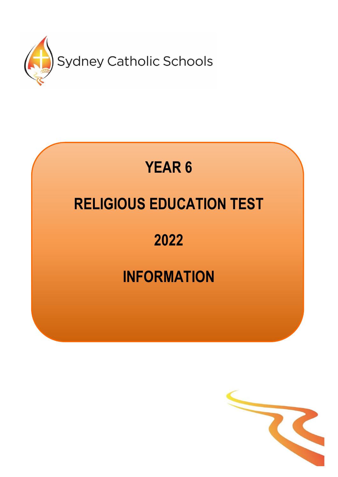

# **YEAR 6 RELIGIOUS EDUCATION TEST 2022**

## **INFORMATION**

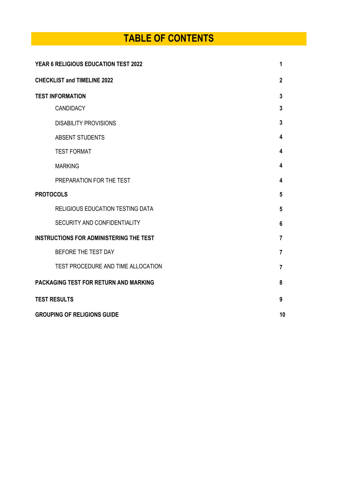## **TABLE OF CONTENTS**

| YEAR 6 RELIGIOUS EDUCATION TEST 2022           |                |
|------------------------------------------------|----------------|
| <b>CHECKLIST and TIMELINE 2022</b>             | $\mathbf{2}$   |
| <b>TEST INFORMATION</b>                        | $\mathbf{3}$   |
| <b>CANDIDACY</b>                               | 3              |
| <b>DISABILITY PROVISIONS</b>                   | 3              |
| <b>ABSENT STUDENTS</b>                         | 4              |
| <b>TEST FORMAT</b>                             | 4              |
| <b>MARKING</b>                                 | 4              |
| PREPARATION FOR THE TEST                       | 4              |
| <b>PROTOCOLS</b>                               | 5              |
| RELIGIOUS EDUCATION TESTING DATA               | 5              |
| SECURITY AND CONFIDENTIALITY                   | 6              |
| <b>INSTRUCTIONS FOR ADMINISTERING THE TEST</b> | 7              |
| BEFORE THE TEST DAY                            | $\overline{7}$ |
| TEST PROCEDURE AND TIME ALLOCATION             | 7              |
| PACKAGING TEST FOR RETURN AND MARKING          | 8              |
| <b>TEST RESULTS</b>                            | 9              |
| <b>GROUPING OF RELIGIONS GUIDE</b>             |                |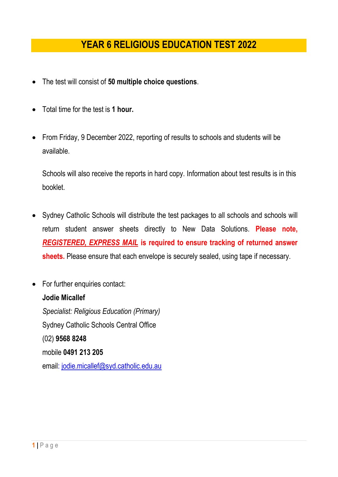## **YEAR 6 RELIGIOUS EDUCATION TEST 2022**

- The test will consist of **50 multiple choice questions**.
- Total time for the test is **1 hour.**
- From Friday, 9 December 2022, reporting of results to schools and students will be available.

Schools will also receive the reports in hard copy. Information about test results is in this booklet.

- Sydney Catholic Schools will distribute the test packages to all schools and schools will return student answer sheets directly to New Data Solutions. **Please note,**  *REGISTERED, EXPRESS MAIL* **is required to ensure tracking of returned answer sheets.** Please ensure that each envelope is securely sealed, using tape if necessary.
- For further enquiries contact: **Jodie Micallef** *Specialist: Religious Education (Primary)* Sydney Catholic Schools Central Office (02) **9568 8248** mobile **0491 213 205** email: [jodie.micallef@syd.catholic.edu.au](mailto:jodie.micallef@syd.catholic.edu.au)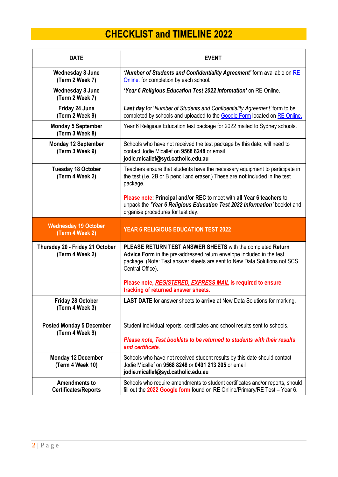## **CHECKLIST and TIMELINE 2022**

| <b>DATE</b>                                         | <b>EVENT</b>                                                                                                                                                                                                                                                                                        |
|-----------------------------------------------------|-----------------------------------------------------------------------------------------------------------------------------------------------------------------------------------------------------------------------------------------------------------------------------------------------------|
| <b>Wednesday 8 June</b><br>(Term 2 Week 7)          | 'Number of Students and Confidentiality Agreement' form available on RE<br>Online. for completion by each school.                                                                                                                                                                                   |
| <b>Wednesday 8 June</b><br>(Term 2 Week 7)          | 'Year 6 Religious Education Test 2022 Information' on RE Online.                                                                                                                                                                                                                                    |
| Friday 24 June<br>(Term 2 Week 9)                   | Last day for 'Number of Students and Confidentiality Agreement' form to be<br>completed by schools and uploaded to the Google Form located on RE Online.                                                                                                                                            |
| <b>Monday 5 September</b><br>(Term 3 Week 8)        | Year 6 Religious Education test package for 2022 mailed to Sydney schools.                                                                                                                                                                                                                          |
| <b>Monday 12 September</b><br>(Term 3 Week 9)       | Schools who have not received the test package by this date, will need to<br>contact Jodie Micallef on 9568 8248 or email<br>jodie.micallef@syd.catholic.edu.au                                                                                                                                     |
| <b>Tuesday 18 October</b><br>(Term 4 Week 2)        | Teachers ensure that students have the necessary equipment to participate in<br>the test (i.e. 2B or B pencil and eraser.) These are not included in the test<br>package.                                                                                                                           |
|                                                     | Please note: Principal and/or REC to meet with all Year 6 teachers to<br>unpack the 'Year 6 Religious Education Test 2022 Information' booklet and<br>organise procedures for test day.                                                                                                             |
| <b>Wednesday 19 October</b><br>(Term 4 Week 2)      | YEAR 6 RELIGIOUS EDUCATION TEST 2022                                                                                                                                                                                                                                                                |
| Thursday 20 - Friday 21 October<br>(Term 4 Week 2)  | PLEASE RETURN TEST ANSWER SHEETS with the completed Return<br>Advice Form in the pre-addressed return envelope included in the test<br>package. (Note: Test answer sheets are sent to New Data Solutions not SCS<br>Central Office).<br>Please note, REGISTERED, EXPRESS MAIL is required to ensure |
| <b>Friday 28 October</b>                            | tracking of returned answer sheets.<br>LAST DATE for answer sheets to arrive at New Data Solutions for marking.                                                                                                                                                                                     |
| (Term 4 Week 3)                                     |                                                                                                                                                                                                                                                                                                     |
| <b>Posted Monday 5 December</b><br>(Term 4 Week 9)  | Student individual reports, certificates and school results sent to schools.                                                                                                                                                                                                                        |
|                                                     | Please note, Test booklets to be returned to students with their results<br>and certificate.                                                                                                                                                                                                        |
| <b>Monday 12 December</b><br>(Term 4 Week 10)       | Schools who have not received student results by this date should contact<br>Jodie Micallef on 9568 8248 or 0491 213 205 or email<br>jodie.micallef@syd.catholic.edu.au                                                                                                                             |
| <b>Amendments to</b><br><b>Certificates/Reports</b> | Schools who require amendments to student certificates and/or reports, should<br>fill out the 2022 Google form found on RE Online/Primary/RE Test - Year 6.                                                                                                                                         |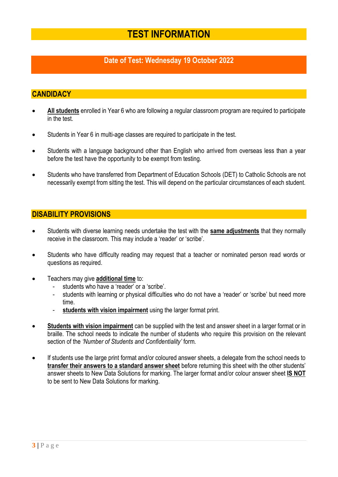## **TEST INFORMATION**

## **Date of Test: Wednesday 19 October 2022**

#### **CANDIDACY**

- **All students** enrolled in Year 6 who are following a regular classroom program are required to participate in the test.
- Students in Year 6 in multi-age classes are required to participate in the test.
- Students with a language background other than English who arrived from overseas less than a year before the test have the opportunity to be exempt from testing.
- Students who have transferred from Department of Education Schools (DET) to Catholic Schools are not necessarily exempt from sitting the test. This will depend on the particular circumstances of each student.

#### **DISABILITY PROVISIONS**

- Students with diverse learning needs undertake the test with the **same adjustments** that they normally receive in the classroom. This may include a 'reader' or 'scribe'.
- Students who have difficulty reading may request that a teacher or nominated person read words or questions as required.
- Teachers may give **additional time** to:
	- students who have a 'reader' or a 'scribe'.
	- students with learning or physical difficulties who do not have a 'reader' or 'scribe' but need more time.
	- students with vision impairment using the larger format print.
- **Students with vision impairment** can be supplied with the test and answer sheet in a larger format or in braille. The school needs to indicate the number of students who require this provision on the relevant section of the *'Number of Students and Confidentiality'* form*.*
- If students use the large print format and/or coloured answer sheets, a delegate from the school needs to **transfer their answers to a standard answer sheet** before returning this sheet with the other students' answer sheets to New Data Solutions for marking. The larger format and/or colour answer sheet **IS NOT** to be sent to New Data Solutions for marking.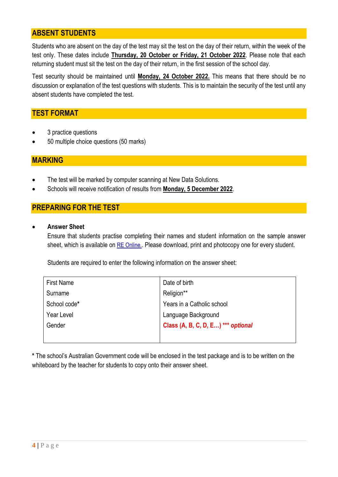## **ABSENT STUDENTS**

Students who are absent on the day of the test may sit the test on the day of their return, within the week of the test only. These dates include **Thursday, 20 October or Friday, 21 October 2022**. Please note that each returning student must sit the test on the day of their return, in the first session of the school day.

Test security should be maintained until **Monday, 24 October 2022.** This means that there should be no discussion or explanation of the test questions with students. This is to maintain the security of the test until any absent students have completed the test.

#### **TEST FORMAT**

- 3 practice questions
- 50 multiple choice questions (50 marks)

#### **MARKING**

- The test will be marked by computer scanning at New Data Solutions.
- Schools will receive notification of results from **Monday, 5 December 2022**.

## **PREPARING FOR THE TEST**

• **Answer Sheet** 

Ensure that students practise completing their names and student information on the sample answer sheet, which is available on [RE Online.](https://reonline.sydcatholicschools.nsw.edu.au/re-test-year-6/). Please download, print and photocopy one for every student.

Students are required to enter the following information on the answer sheet:

| <b>First Name</b> | Date of birth                      |
|-------------------|------------------------------------|
| Surname           | Religion**                         |
| School code*      | Years in a Catholic school         |
| Year Level        | Language Background                |
| Gender            | Class (A, B, C, D, E) *** optional |
|                   |                                    |

**\*** The school's Australian Government code will be enclosed in the test package and is to be written on the whiteboard by the teacher for students to copy onto their answer sheet.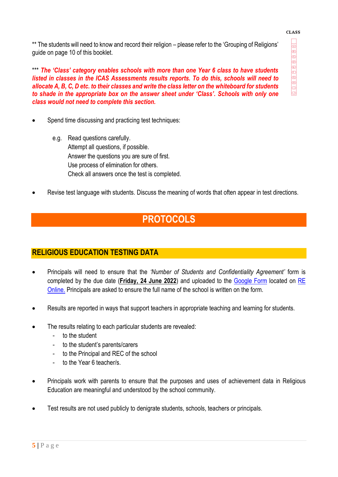#### **CLASS**

 $000000000000$ 

\*\* The students will need to know and record their religion – please refer to the 'Grouping of Religions' guide on page 10 of this booklet.

\*\*\* *The 'Class' category enables schools with more than one Year 6 class to have students listed in classes in the ICAS Assessments results reports. To do this, schools will need to allocate A, B, C, D etc. to their classes and write the class letter on the whiteboard for students to shade in the appropriate box on the answer sheet under 'Class'. Schools with only one class would not need to complete this section.*

- Spend time discussing and practicing test techniques:
	- e.g. Read questions carefully. Attempt all questions, if possible. Answer the questions you are sure of first. Use process of elimination for others. Check all answers once the test is completed.
- Revise test language with students. Discuss the meaning of words that often appear in test directions.

## **PROTOCOLS**

## **RELIGIOUS EDUCATION TESTING DATA**

- Principals will need to ensure that the *'Number of Students and Confidentiality Agreement'* form is completed by the due date (**Friday, 24 June 2022**) and uploaded to the [Google Form](https://docs.google.com/forms/d/1PuRpmrAKFCrefq1YfpeqkcOA-aVhSBLje4Laqg1Y0-o/viewform?edit_requested=true) located on [RE](https://reonline.sydcatholicschools.nsw.edu.au/re-test-year-6/)  [Online.](https://reonline.sydcatholicschools.nsw.edu.au/re-test-year-6/) Principals are asked to ensure the full name of the school is written on the form.
- Results are reported in ways that support teachers in appropriate teaching and learning for students.
- The results relating to each particular students are revealed:
	- to the student
	- to the student's parents/carers
	- to the Principal and REC of the school
	- to the Year 6 teacher/s.
- Principals work with parents to ensure that the purposes and uses of achievement data in Religious Education are meaningful and understood by the school community.
- Test results are not used publicly to denigrate students, schools, teachers or principals.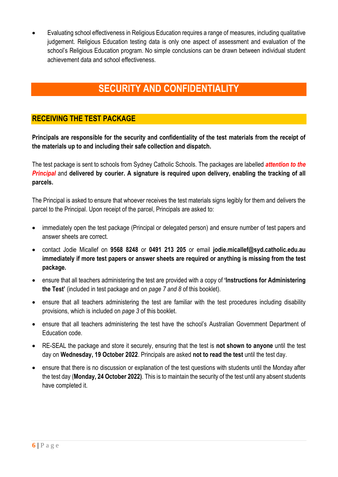• Evaluating school effectiveness in Religious Education requires a range of measures, including qualitative judgement. Religious Education testing data is only one aspect of assessment and evaluation of the school's Religious Education program. No simple conclusions can be drawn between individual student achievement data and school effectiveness.

## **SECURITY AND CONFIDENTIALITY**

## **RECEIVING THE TEST PACKAGE**

**Principals are responsible for the security and confidentiality of the test materials from the receipt of the materials up to and including their safe collection and dispatch.** 

The test package is sent to schools from Sydney Catholic Schools. The packages are labelled *attention to the Principal* and **delivered by courier. A signature is required upon delivery, enabling the tracking of all parcels.** 

The Principal is asked to ensure that whoever receives the test materials signs legibly for them and delivers the parcel to the Principal. Upon receipt of the parcel, Principals are asked to:

- immediately open the test package (Principal or delegated person) and ensure number of test papers and answer sheets are correct.
- contact Jodie Micallef on **9568 8248** or **0491 213 205** or email **jodie.micallef@syd.catholic.edu.au immediately if more test papers or answer sheets are required or anything is missing from the test package.**
- ensure that all teachers administering the test are provided with a copy of **'Instructions for Administering the Test'** (included in test package and on *page 7 and 8* of this booklet).
- ensure that all teachers administering the test are familiar with the test procedures including disability provisions, which is included on *page 3* of this booklet.
- ensure that all teachers administering the test have the school's Australian Government Department of Education code.
- RE-SEAL the package and store it securely, ensuring that the test is **not shown to anyone** until the test day on **Wednesday, 19 October 2022**. Principals are asked **not to read the test** until the test day.
- ensure that there is no discussion or explanation of the test questions with students until the Monday after the test day (**Monday, 24 October 2022)**. This is to maintain the security of the test until any absent students have completed it.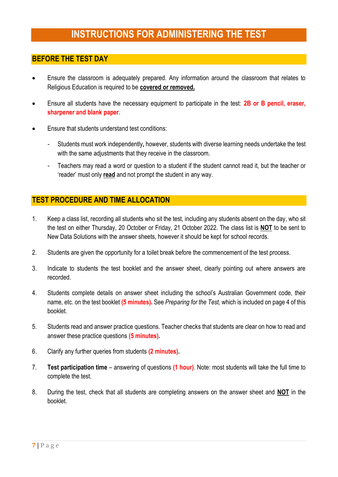## **INSTRUCTIONS FOR ADMINISTERING THE TEST**

#### **BEFORE THE TEST DAY**

- Ensure the classroom is adequately prepared. Any information around the classroom that relates to Religious Education is required to be **covered or removed.**
- Ensure all students have the necessary equipment to participate in the test: **2B or B pencil, eraser, sharpener and blank paper**.
- Ensure that students understand test conditions:
	- Students must work independently**,** however, students with diverse learning needs undertake the test with the same adjustments that they receive in the classroom.
	- Teachers may read a word or question to a student if the student cannot read it, but the teacher or 'reader' must only **read** and not prompt the student in any way.

#### **TEST PROCEDURE AND TIME ALLOCATION**

- 1. Keep a class list, recording all students who sit the test, including any students absent on the day, who sit the test on either Thursday, 20 October or Friday, 21 October 2022. The class list is **NOT** to be sent to New Data Solutions with the answer sheets, however it should be kept for school records.
- 2. Students are given the opportunity for a toilet break before the commencement of the test process.
- 3. Indicate to students the test booklet and the answer sheet, clearly pointing out where answers are recorded.
- 4. Students complete details on answer sheet including the school's Australian Government code, their name, etc. on the test booklet **(5 minutes).** See *Preparing for the Test,* which is included on page 4 of this booklet.
- 5. Students read and answer practice questions. Teacher checks that students are clear on how to read and answer these practice questions **(5 minutes).**
- 6. Clarify any further queries from students **(2 minutes).**
- 7. **Test participation time** answering of questions **(1 hour)**. Note: most students will take the full time to complete the test.
- 8. During the test, check that all students are completing answers on the answer sheet and **NOT** in the booklet.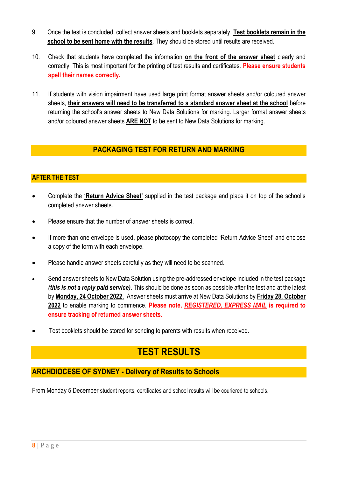- 9. Once the test is concluded, collect answer sheets and booklets separately. **Test booklets remain in the school to be sent home with the results**. They should be stored until results are received.
- 10. Check that students have completed the information **on the front of the answer sheet** clearly and correctly. This is most important for the printing of test results and certificates. **Please ensure students spell their names correctly.**
- 11. If students with vision impairment have used large print format answer sheets and/or coloured answer sheets, **their answers will need to be transferred to a standard answer sheet at the school** before returning the school's answer sheets to New Data Solutions for marking. Larger format answer sheets and/or coloured answer sheets **ARE NOT** to be sent to New Data Solutions for marking.

## **PACKAGING TEST FOR RETURN AND MARKING**

## **AFTER THE TEST**

- Complete the **'Return Advice Sheet'** supplied in the test package and place it on top of the school's completed answer sheets.
- Please ensure that the number of answer sheets is correct.
- If more than one envelope is used, please photocopy the completed 'Return Advice Sheet' and enclose a copy of the form with each envelope.
- Please handle answer sheets carefully as they will need to be scanned.
- Send answer sheets to New Data Solution using the pre-addressed envelope included in the test package *(this is not a reply paid service)*. This should be done as soon as possible after the test and at the latest by **Monday, 24 October 2022.** Answer sheets must arrive at New Data Solutions by **Friday 28, October 2022** to enable marking to commence. **Please note,** *REGISTERED, EXPRESS MAIL* **is required to ensure tracking of returned answer sheets.**
- Test booklets should be stored for sending to parents with results when received.

## **TEST RESULTS**

## **ARCHDIOCESE OF SYDNEY - Delivery of Results to Schools**

From Monday 5 December student reports, certificates and school results will be couriered to schools.